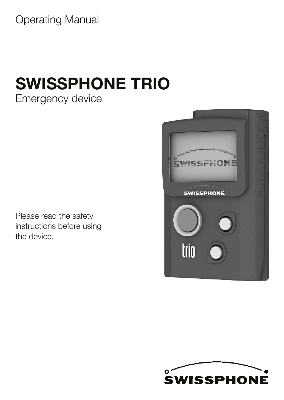Operating Manual

# SWISSPHONE TRIO

Emergency device

Please read the safety instructions before using the device.



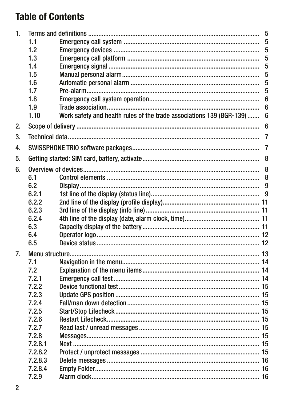## **Table of Contents**

| 1. |         |                                                                      | 5              |
|----|---------|----------------------------------------------------------------------|----------------|
|    | 1.1     |                                                                      | 5              |
|    | 1.2     |                                                                      | 5              |
|    | 1.3     |                                                                      | 5              |
|    | 1.4     |                                                                      | 5              |
|    | 1.5     |                                                                      | 5              |
|    | 1.6     |                                                                      | 5              |
|    | 1.7     |                                                                      | 5              |
|    | 1.8     |                                                                      | 6              |
|    | 1.9     |                                                                      | 6              |
|    | 1.10    | Work safety and health rules of the trade associations 139 (BGR-139) | 6              |
| 2. |         |                                                                      | 6              |
| 3. |         |                                                                      | $\overline{7}$ |
| 4. |         |                                                                      | $\overline{7}$ |
| 5. |         |                                                                      |                |
| 6. |         |                                                                      | 8              |
|    | 6.1     |                                                                      | 8              |
|    | 6.2     |                                                                      | 9              |
|    | 6.2.1   |                                                                      |                |
|    | 6.2.2   |                                                                      |                |
|    | 6.2.3   |                                                                      |                |
|    | 6.2.4   |                                                                      |                |
|    | 6.3     |                                                                      |                |
|    | 6.4     |                                                                      |                |
|    | 6.5     |                                                                      |                |
| 7. |         |                                                                      |                |
|    | 7.1     |                                                                      |                |
|    | 7.2     |                                                                      |                |
|    | 7.2.1   |                                                                      |                |
|    | 7.2.2   |                                                                      |                |
|    | 7.2.3   |                                                                      |                |
|    | 7.2.4   |                                                                      |                |
|    | 7.2.5   |                                                                      |                |
|    | 7.2.6   |                                                                      |                |
|    | 7.2.7   |                                                                      |                |
|    | 7.2.8   |                                                                      |                |
|    | 7.2.8.1 |                                                                      |                |
|    | 7.2.8.2 |                                                                      |                |
|    | 7.2.8.3 |                                                                      |                |
|    | 7.2.8.4 |                                                                      |                |
|    | 7.2.9   |                                                                      |                |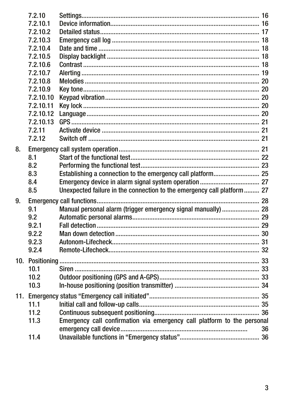|    | 7.2.10    |                                                                         |    |
|----|-----------|-------------------------------------------------------------------------|----|
|    | 7.2.10.1  |                                                                         |    |
|    | 7.2.10.2  |                                                                         |    |
|    | 7.2.10.3  |                                                                         |    |
|    | 7.2.10.4  |                                                                         |    |
|    | 7.2.10.5  |                                                                         |    |
|    | 7.2.10.6  |                                                                         |    |
|    | 7.2.10.7  |                                                                         |    |
|    | 7.2.10.8  |                                                                         |    |
|    | 7.2.10.9  |                                                                         |    |
|    | 7.2.10.10 |                                                                         |    |
|    | 7.2.10.11 |                                                                         |    |
|    | 7.2.10.12 |                                                                         |    |
|    | 7.2.10.13 |                                                                         |    |
|    | 7.2.11    |                                                                         |    |
|    | 7.2.12    |                                                                         |    |
| 8. |           |                                                                         |    |
|    | 8.1       |                                                                         |    |
|    | 8.2       |                                                                         |    |
|    | 8.3       | Establishing a connection to the emergency call platform 25             |    |
|    | 8.4       |                                                                         |    |
|    | 8.5       | Unexpected failure in the connection to the emergency call platform 27  |    |
| 9. |           |                                                                         |    |
|    | 9.1       | Manual personal alarm (trigger emergency signal manually)  28           |    |
|    | 9.2       |                                                                         |    |
|    | 9.2.1     |                                                                         |    |
|    | 9.2.2     |                                                                         |    |
|    | 9.2.3     |                                                                         |    |
|    | 9.2.4     |                                                                         |    |
|    |           |                                                                         |    |
|    | 10.1      |                                                                         |    |
|    | 10.2      |                                                                         |    |
|    | 10.3      |                                                                         |    |
|    |           |                                                                         |    |
|    | 11.1      |                                                                         |    |
|    | 11.2      |                                                                         |    |
|    | 11.3      | Emergency call confirmation via emergency call platform to the personal |    |
|    |           |                                                                         | 36 |
|    | 11.4      |                                                                         |    |
|    |           |                                                                         |    |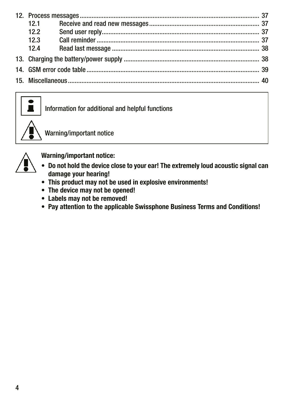| 12.1 |  |  |
|------|--|--|
| 12.2 |  |  |
| 12.3 |  |  |
| 12.4 |  |  |
|      |  |  |
|      |  |  |
|      |  |  |
|      |  |  |



Information for additional and helpful functions



Warning/important notice



Warning/important notice:

- Do not hold the device close to your ear! The extremely loud acoustic signal can damage your hearing!
- This product may not be used in explosive environments!
- The device may not be opened!
- Labels may not be removed!
- Pay attention to the applicable Swissphone Business Terms and Conditions!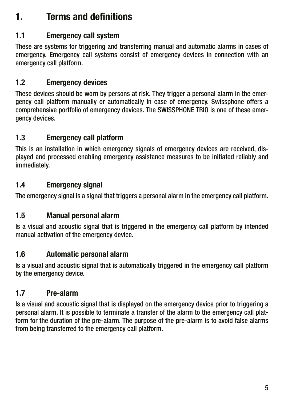### <span id="page-4-0"></span>1. Terms and definitions

#### 1.1 Emergency call system

These are systems for triggering and transferring manual and automatic alarms in cases of emergency. Emergency call systems consist of emergency devices in connection with an emergency call platform.

#### 1.2 Emergency devices

These devices should be worn by persons at risk. They trigger a personal alarm in the emergency call platform manually or automatically in case of emergency. Swissphone offers a comprehensive portfolio of emergency devices. The SWISSPHONE TRIO is one of these emergency devices.

#### 1.3 Emergency call platform

This is an installation in which emergency signals of emergency devices are received, displayed and processed enabling emergency assistance measures to be initiated reliably and immediately.

#### 1.4 Emergency signal

The emergency signal is a signal that triggers a personal alarm in the emergency call platform.

#### 1.5 Manual personal alarm

Is a visual and acoustic signal that is triggered in the emergency call platform by intended manual activation of the emergency device.

#### 1.6 Automatic personal alarm

Is a visual and acoustic signal that is automatically triggered in the emergency call platform by the emergency device.

#### 1.7 Pre-alarm

Is a visual and acoustic signal that is displayed on the emergency device prior to triggering a personal alarm. It is possible to terminate a transfer of the alarm to the emergency call platform for the duration of the pre-alarm. The purpose of the pre-alarm is to avoid false alarms from being transferred to the emergency call platform.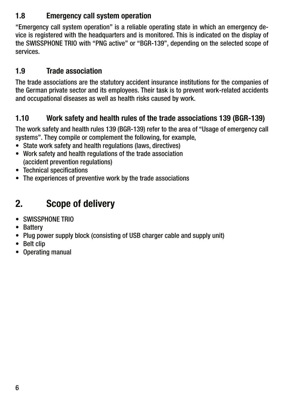#### <span id="page-5-0"></span>1.8 Emergency call system operation

"Emergency call system operation" is a reliable operating state in which an emergency device is registered with the headquarters and is monitored. This is indicated on the display of the SWISSPHONE TRIO with "PNG active" or "BGR-139", depending on the selected scope of services.

#### 1.9 Trade association

The trade associations are the statutory accident insurance institutions for the companies of the German private sector and its employees. Their task is to prevent work-related accidents and occupational diseases as well as health risks caused by work.

#### 1.10 Work safety and health rules of the trade associations 139 (BGR-139)

The work safety and health rules 139 (BGR-139) refer to the area of "Usage of emergency call systems". They compile or complement the following, for example,

- State work safety and health regulations (laws, directives)
- Work safety and health regulations of the trade association (accident prevention regulations)
- Technical specifications
- The experiences of preventive work by the trade associations

### 2. Scope of delivery

- SWISSPHONE TRIO
- Battery
- Plug power supply block (consisting of USB charger cable and supply unit)
- Belt clip
- Operating manual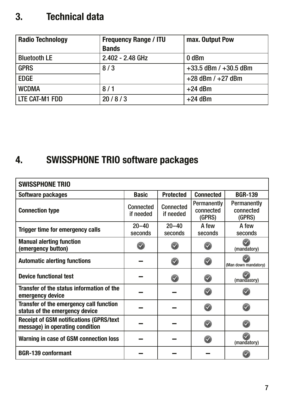### <span id="page-6-0"></span>3. Technical data

| <b>Radio Technology</b> | <b>Frequency Range / ITU</b> | max. Output Pow           |
|-------------------------|------------------------------|---------------------------|
|                         | <b>Bands</b>                 |                           |
| <b>Bluetooth LE</b>     | 2.402 - 2.48 GHz             | 0 <sub>dBm</sub>          |
| <b>GPRS</b>             | 8/3                          | $+33.5$ dBm / $+30.5$ dBm |
| <b>EDGE</b>             |                              | $+28$ dBm $/ +27$ dBm     |
| <b>WCDMA</b>            | 8/1                          | $+24$ dBm                 |
| LTE CAT-M1 FDD          | 20/8/3                       | $+24$ dBm                 |

### 4. SWISSPHONE TRIO software packages

| <b>SWISSPHONE TRIO</b>                                                            |                        |                         |                                    |                                    |
|-----------------------------------------------------------------------------------|------------------------|-------------------------|------------------------------------|------------------------------------|
| Software packages                                                                 | <b>Basic</b>           | <b>Protected</b>        | <b>Connected</b>                   | <b>BGR-139</b>                     |
| <b>Connection type</b>                                                            | Connected<br>if needed | Connected<br>if needed  | Permanently<br>connected<br>(GPRS) | Permanently<br>connected<br>(GPRS) |
| Trigger time for emergency calls                                                  | $20 - 40$<br>seconds   | $20 - 40$<br>seconds    | A few<br>seconds                   | A few<br>seconds                   |
| <b>Manual alerting function</b><br>(emergency button)                             |                        |                         |                                    | (mandatory)                        |
| <b>Automatic alerting functions</b>                                               |                        |                         |                                    | (Man down mandatory)               |
| <b>Device functional test</b>                                                     |                        | $\overline{\mathbf{v}}$ |                                    | (mandatory)                        |
| Transfer of the status information of the<br>emergency device                     |                        |                         | $\checkmark$                       |                                    |
| Transfer of the emergency call function<br>status of the emergency device         |                        |                         |                                    |                                    |
| <b>Receipt of GSM notifications (GPRS/text</b><br>message) in operating condition |                        |                         |                                    |                                    |
| Warning in case of GSM connection loss                                            |                        |                         |                                    | (mandatory)                        |
| <b>BGR-139 conformant</b>                                                         |                        |                         |                                    |                                    |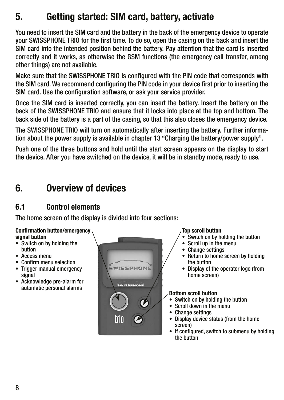### <span id="page-7-0"></span>5. Getting started: SIM card, battery, activate

You need to insert the SIM card and the battery in the back of the emergency device to operate your SWISSPHONE TRIO for the first time. To do so, open the casing on the back and insert the SIM card into the intended position behind the battery. Pay attention that the card is inserted correctly and it works, as otherwise the GSM functions (the emergency call transfer, among other things) are not available.

Make sure that the SWISSPHONE TRIO is configured with the PIN code that corresponds with the SIM card. We recommend configuring the PIN code in your device first prior to inserting the SIM card. Use the configuration software, or ask your service provider.

Once the SIM card is inserted correctly, you can insert the battery. Insert the battery on the back of the SWISSPHONE TRIO and ensure that it locks into place at the top and bottom. The back side of the battery is a part of the casing, so that this also closes the emergency device.

The SWISSPHONE TRIO will turn on automatically after inserting the battery. Further information about the power supply is available in chapter 13 "Charging the battery/power supply".

Push one of the three buttons and hold until the start screen appears on the display to start the device. After you have switched on the device, it will be in standby mode, ready to use.

### 6. Overview of devices

#### 6.1 Control elements

The home screen of the display is divided into four sections:

#### Confirmation button/emergency signal button

- Switch on by holding the button
- Access menu
- Confirm menu selection
- Trigger manual emergency signal
- Acknowledge pre-alarm for automatic personal alarms



#### Top scroll button

- Switch on by holding the button
- Scroll up in the menu
- Change settings
- Return to home screen by holding the button
- Display of the operator logo (from home screen)

#### Bottom scroll button

- Switch on by holding the button
- Scroll down in the menu
- Change settings
- Display device status (from the home screen)
- If configured, switch to submenu by holding the button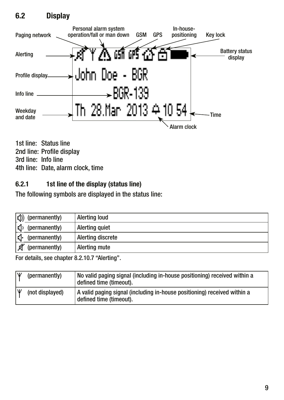#### <span id="page-8-0"></span>6.2 Display



1st line: Status line 2nd line: Profile display 3rd line: Info line 4th line: Date, alarm clock, time

#### 6.2.1 1st line of the display (status line)

The following symbols are displayed in the status line:

| $\langle \cdot   \cdot \rangle$ (permanently) | Alerting loud        |
|-----------------------------------------------|----------------------|
| $\left  \cdot \right $ (permanently)          | Alerting quiet       |
| $\left  \mathbf{c} \right $ (permanently)     | Alerting discrete    |
| л<br>(permanently)                            | <b>Alerting mute</b> |

For details, see chapter 8.2.10.7 "Alerting".

| ΓW | (permanently)   | No valid paging signal (including in-house positioning) received within a<br>defined time (timeout). |
|----|-----------------|------------------------------------------------------------------------------------------------------|
|    | (not displayed) | A valid paging signal (including in-house positioning) received within a<br>defined time (timeout).  |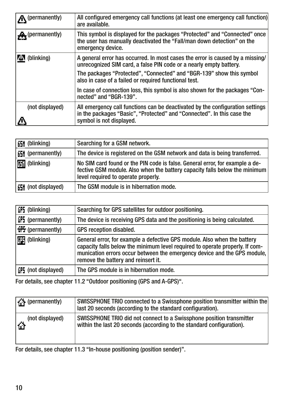| All configured emergency call functions (at least one emergency call function)<br>are available.                                                                                    |
|-------------------------------------------------------------------------------------------------------------------------------------------------------------------------------------|
| This symbol is displayed for the packages "Protected" and "Connected" once<br>the user has manually deactivated the "Fall/man down detection" on the<br>emergency device.           |
| A general error has occurred. In most cases the error is caused by a missing/<br>unrecognized SIM card, a false PIN code or a nearly empty battery.                                 |
| The packages "Protected", "Connected" and "BGR-139" show this symbol<br>also in case of a failed or required functional test.                                                       |
| In case of connection loss, this symbol is also shown for the packages "Con-<br>nected" and "BGR-139".                                                                              |
| All emergency call functions can be deactivated by the configuration settings<br>in the packages "Basic", "Protected" and "Connected". In this case the<br>symbol is not displayed. |
|                                                                                                                                                                                     |

| <b>65H</b> (blinking)     | Searching for a GSM network.                                                                                                                                                                      |
|---------------------------|---------------------------------------------------------------------------------------------------------------------------------------------------------------------------------------------------|
| <b>65H</b> (permanently)  | The device is registered on the GSM network and data is being transferred.                                                                                                                        |
| <b>Hill</b> (blinking)    | No SIM card found or the PIN code is false. General error, for example a de-<br>fective GSM module. Also when the battery capacity falls below the minimum<br>level required to operate properly. |
| <b>EH</b> (not displayed) | The GSM module is in hibernation mode.                                                                                                                                                            |

| <b>GPS</b> (blinking)           | Searching for GPS satellites for outdoor positioning.                                                                                                                                                                                                                       |
|---------------------------------|-----------------------------------------------------------------------------------------------------------------------------------------------------------------------------------------------------------------------------------------------------------------------------|
| <b>GP5</b> (permanently)        | The device is receiving GPS data and the positioning is being calculated.                                                                                                                                                                                                   |
| $\frac{100}{100}$ (permanently) | GPS reception disabled.                                                                                                                                                                                                                                                     |
| (blinking)                      | General error, for example a defective GPS module. Also when the battery<br>capacity falls below the minimum level required to operate properly. If com-<br>munication errors occur between the emergency device and the GPS module,<br>remove the battery and reinsert it. |
| GP5 (not displayed)             | The GPS module is in hibernation mode.                                                                                                                                                                                                                                      |

For details, see chapter 11.2 "Outdoor positioning (GPS and A-GPS)".

| <b>F</b> (permanently) | SWISSPHONE TRIO connected to a Swissphone position transmitter within the<br>last 20 seconds (according to the standard configuration). |
|------------------------|-----------------------------------------------------------------------------------------------------------------------------------------|
| (not displayed)        | SWISSPHONE TRIO did not connect to a Swissphone position transmitter                                                                    |
| ú.                     | within the last 20 seconds (according to the standard configuration).                                                                   |

For details, see chapter 11.3 "In-house positioning (position sender)".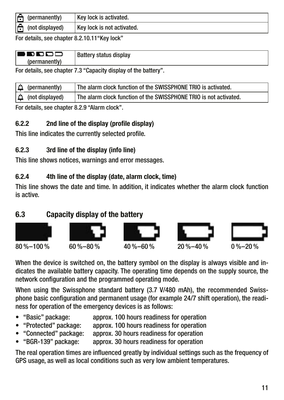<span id="page-10-0"></span>

| IG۱<br>(permanently)                                    | Key lock is activated.     |
|---------------------------------------------------------|----------------------------|
| $\left  \bigcap_{n=1}^{\infty} \right $ (not displayed) | Key lock is not activated. |

For details, see chapter 8.2.10.11"Key lock"

| l Di<br>`OOC.<br>- 30 | <b>Battery status display</b> |
|-----------------------|-------------------------------|
| (permanentlv          |                               |

For details, see chapter 7.3 "Capacity display of the battery".

| (permanently)            | The alarm clock function of the SWISSPHONE TRIO is activated.     |
|--------------------------|-------------------------------------------------------------------|
| $\Delta$ (not displayed) | The alarm clock function of the SWISSPHONE TRIO is not activated. |

For details, see chapter 8.2.9 "Alarm clock".

#### 6.2.2 2nd line of the display (profile display)

This line indicates the currently selected profile.

#### 6.2.3 3rd line of the display (info line)

This line shows notices, warnings and error messages.

#### 6.2.4 4th line of the display (date, alarm clock, time)

This line shows the date and time. In addition, it indicates whether the alarm clock function is active.

#### 6.3 Capacity display of the battery



When the device is switched on, the battery symbol on the display is always visible and indicates the available battery capacity. The operating time depends on the supply source, the network configuration and the programmed operating mode.

When using the Swissphone standard battery (3.7 V/480 mAh), the recommended Swissphone basic configuration and permanent usage (for example 24/7 shift operation), the readiness for operation of the emergency devices is as follows:

- "Basic" package: approx. 100 hours readiness for operation
- "Protected" package: approx. 100 hours readiness for operation
- "Connected" package: approx. 30 hours readiness for operation
- approx. 30 hours readiness for operation

The real operation times are influenced greatly by individual settings such as the frequency of GPS usage, as well as local conditions such as very low ambient temperatures.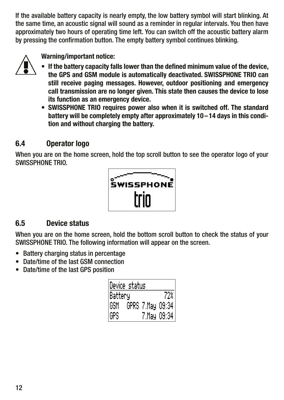<span id="page-11-0"></span>If the available battery capacity is nearly empty, the low battery symbol will start blinking. At the same time, an acoustic signal will sound as a reminder in regular intervals. You then have approximately two hours of operating time left. You can switch off the acoustic battery alarm by pressing the confirmation button. The empty battery symbol continues blinking.



Warning/important notice:

- If the battery capacity falls lower than the defined minimum value of the device, the GPS and GSM module is automatically deactivated. SWISSPHONE TRIO can still receive paging messages. However, outdoor positioning and emergency call transmission are no longer given. This state then causes the device to lose its function as an emergency device.
- SWISSPHONE TRIO requires power also when it is switched off. The standard battery will be completely empty after approximately 10 –14 days in this condition and without charging the battery.

#### 6.4 Operator logo

When you are on the home screen, hold the top scroll button to see the operator logo of your SWISSPHONE TRIO.



#### 6.5 Device status

When you are on the home screen, hold the bottom scroll button to check the status of your SWISSPHONE TRIO. The following information will appear on the screen.

- Battery charging status in percentage
- Date/time of the last GSM connection
- Date/time of the last GPS position

| Device status |                  |             |
|---------------|------------------|-------------|
| Battery       |                  | 72%         |
| 'GSM          | GPRS 7.May 09:34 |             |
| GPS           |                  | 7.May 09:34 |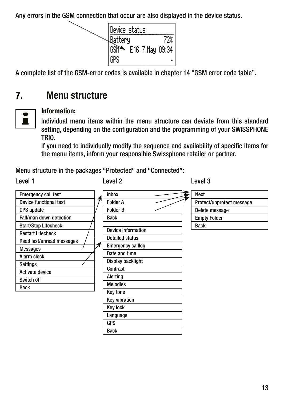<span id="page-12-0"></span>Any errors in the GSM connection that occur are also displayed in the device status.



A complete list of the GSM-error codes is available in chapter 14 "GSM error code table".

### 7. Menu structure



#### Information:

Individual menu items within the menu structure can deviate from this standard setting, depending on the configuration and the programming of your SWISSPHONE TRIO.

If you need to individually modify the sequence and availability of specific items for the menu items, inform your responsible Swissphone retailer or partner.

Menu structure in the packages "Protected" and "Connected":

Level 1 Level 2 Level 3

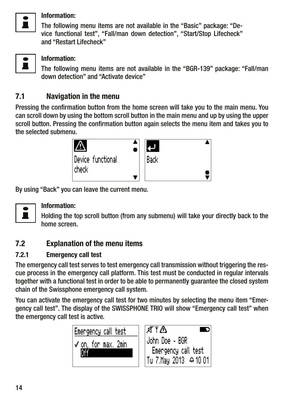<span id="page-13-0"></span>

#### Information:

The following menu items are not available in the "Basic" package: "Device functional test", "Fall/man down detection", "Start/Stop Lifecheck" and "Restart Lifecheck"



## $\bullet$  | Information:

The following menu items are not available in the "BGR-139" package: "Fall/man down detection" and "Activate device"

#### 7.1 Navigation in the menu

Pressing the confirmation button from the home screen will take you to the main menu. You can scroll down by using the bottom scroll button in the main menu and up by using the upper scroll button. Pressing the confirmation button again selects the menu item and takes you to the selected submenu.



By using "Back" you can leave the current menu.



#### Information:

Holding the top scroll button (from any submenu) will take your directly back to the home screen.

#### 7.2 Explanation of the menu items

#### 7.2.1 Emergency call test

The emergency call test serves to test emergency call transmission without triggering the rescue process in the emergency call platform. This test must be conducted in regular intervals together with a functional test in order to be able to permanently guarantee the closed system chain of the Swissphone emergency call system.

You can activate the emergency call test for two minutes by selecting the menu item "Emergency call test". The display of the SWISSPHONE TRIO will show "Emergency call test" when the emergency call test is active.

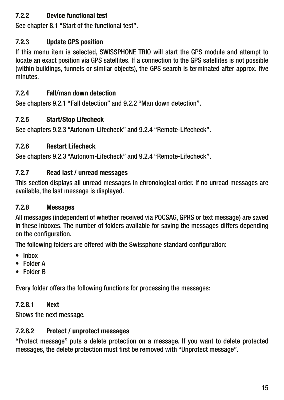#### <span id="page-14-0"></span>7.2.2 Device functional test

See chapter 8.1 "Start of the functional test".

#### 7.2.3 Update GPS position

If this menu item is selected, SWISSPHONE TRIO will start the GPS module and attempt to locate an exact position via GPS satellites. If a connection to the GPS satellites is not possible (within buildings, tunnels or similar objects), the GPS search is terminated after approx. five minutes.

#### 7.2.4 Fall/man down detection

See chapters 9.2.1 "Fall detection" and 9.2.2 "Man down detection".

#### 7.2.5 Start/Stop Lifecheck

See chapters 9.2.3 "Autonom-Lifecheck" and 9.2.4 "Remote-Lifecheck".

#### 7.2.6 Restart Lifecheck

See chapters 9.2.3 "Autonom-Lifecheck" and 9.2.4 "Remote-Lifecheck".

#### 7.2.7 Read last / unread messages

This section displays all unread messages in chronological order. If no unread messages are available, the last message is displayed.

#### 7.2.8 Messages

All messages (independent of whether received via POCSAG, GPRS or text message) are saved in these inboxes. The number of folders available for saving the messages differs depending on the configuration.

The following folders are offered with the Swissphone standard configuration:

- Inbox
- Folder A
- Folder B

Every folder offers the following functions for processing the messages:

#### 7.2.8.1 Next

Shows the next message.

#### 7.2.8.2 Protect / unprotect messages

"Protect message" puts a delete protection on a message. If you want to delete protected messages, the delete protection must first be removed with "Unprotect message".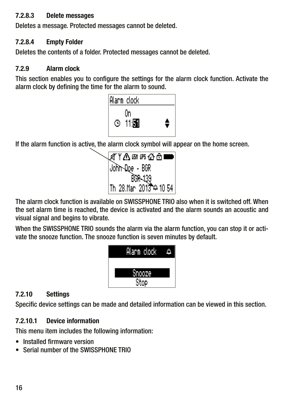#### <span id="page-15-0"></span>7.2.8.3 Delete messages

Deletes a message. Protected messages cannot be deleted.

#### 7.2.8.4 Empty Folder

Deletes the contents of a folder. Protected messages cannot be deleted.

#### 7.2.9 Alarm clock

This section enables you to configure the settings for the alarm clock function. Activate the alarm clock by defining the time for the alarm to sound.



If the alarm function is active, the alarm clock symbol will appear on the home screen.



The alarm clock function is available on SWISSPHONE TRIO also when it is switched off. When the set alarm time is reached, the device is activated and the alarm sounds an acoustic and visual signal and begins to vibrate.

When the SWISSPHONE TRIO sounds the alarm via the alarm function, you can stop it or activate the snooze function. The snooze function is seven minutes by default.



#### 7.2.10 Settings

Specific device settings can be made and detailed information can be viewed in this section.

#### 7.2.10.1 Device information

This menu item includes the following information:

- Installed firmware version
- Serial number of the SWISSPHONE TRIO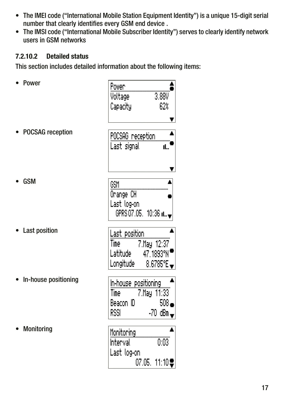- <span id="page-16-0"></span>• The IMEI code ("International Mobile Station Equipment Identity") is a unique 15-digit serial number that clearly identifies every GSM end device .
- The IMSI code ("International Mobile Subscriber Identity") serves to clearly identify network users in GSM networks

#### 7.2.10.2 Detailed status

This section includes detailed information about the following items:

| Power                   | Power<br>3,88V<br>Voltage<br>Capacity<br>62%                                                     |
|-------------------------|--------------------------------------------------------------------------------------------------|
| <b>POCSAG</b> reception | POCSAG reception<br>Last signal<br>ıL."                                                          |
| <b>GSM</b>              | GSM<br>Orange CH<br>Last log-on<br>GPRS 07.05. 10:36 n.m.                                        |
| Last position           | Last position<br>Time and<br>7.May 12:37<br>47.1893°N'<br>Latitude<br>Longitude<br>8.6785°E -    |
| In-house positioning    | In-house positioning<br>7.May 11:33<br>Time<br>508.<br>Beacon ID<br>RSSI<br>-70 dBm <del>.</del> |
| Monitoring              | Monitoring<br>0:03<br>Interval<br>Last log-on<br>07.05. 11:10♥                                   |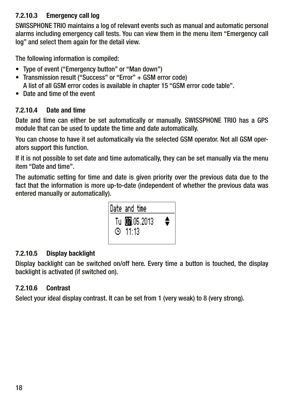#### <span id="page-17-0"></span>7.2.10.3 Emergency call log

SWISSPHONE TRIO maintains a log of relevant events such as manual and automatic personal alarms including emergency call tests. You can view them in the menu item "Emergency call log" and select them again for the detail view.

The following information is compiled:

- Type of event ("Emergency button" or "Man down")
- Transmission result ("Success" or "Error" + GSM error code)

A list of all GSM error codes is available in chapter 15 "GSM error code table".

• Date and time of the event

#### 7.2.10.4 Date and time

Date and time can either be set automatically or manually. SWISSPHONE TRIO has a GPS module that can be used to update the time and date automatically.

You can choose to have it set automatically via the selected GSM operator. Not all GSM operators support this function.

If it is not possible to set date and time automatically, they can be set manually via the menu item "Date and time".

The automatic setting for time and date is given priority over the previous data due to the fact that the information is more up-to-date (independent of whether the previous data was entered manually or automatically).



#### 7.2.10.5 Display backlight

Display backlight can be switched on/off here. Every time a button is touched, the display backlight is activated (if switched on).

#### 7.2.10.6 Contrast

Select your ideal display contrast. It can be set from 1 (very weak) to 8 (very strong).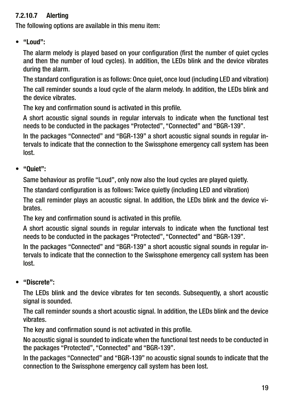#### <span id="page-18-0"></span>7.2.10.7 Alerting

The following options are available in this menu item:

• "Loud":

 The alarm melody is played based on your configuration (first the number of quiet cycles and then the number of loud cycles). In addition, the LEDs blink and the device vibrates during the alarm.

 The standard configuration is as follows: Once quiet, once loud (including LED and vibration) The call reminder sounds a loud cycle of the alarm melody. In addition, the LEDs blink and the device vibrates.

The key and confirmation sound is activated in this profile.

 A short acoustic signal sounds in regular intervals to indicate when the functional test needs to be conducted in the packages "Protected", "Connected" and "BGR-139".

 In the packages "Connected" and "BGR-139" a short acoustic signal sounds in regular intervals to indicate that the connection to the Swissphone emergency call system has been lost.

• "Quiet":

Same behaviour as profile "Loud", only now also the loud cycles are played quietly.

The standard configuration is as follows: Twice quietly (including LED and vibration)

 The call reminder plays an acoustic signal. In addition, the LEDs blink and the device vibrates.

The key and confirmation sound is activated in this profile.

 A short acoustic signal sounds in regular intervals to indicate when the functional test needs to be conducted in the packages "Protected", "Connected" and "BGR-139".

 In the packages "Connected" and "BGR-139" a short acoustic signal sounds in regular intervals to indicate that the connection to the Swissphone emergency call system has been lost.

• "Discrete":

 The LEDs blink and the device vibrates for ten seconds. Subsequently, a short acoustic signal is sounded.

 The call reminder sounds a short acoustic signal. In addition, the LEDs blink and the device vibrates.

The key and confirmation sound is not activated in this profile.

 No acoustic signal is sounded to indicate when the functional test needs to be conducted in the packages "Protected", "Connected" and "BGR-139".

 In the packages "Connected" and "BGR-139" no acoustic signal sounds to indicate that the connection to the Swissphone emergency call system has been lost.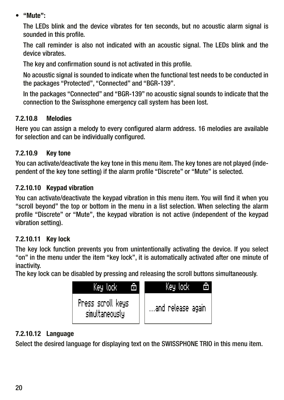<span id="page-19-0"></span>• "Mute":

 The LEDs blink and the device vibrates for ten seconds, but no acoustic alarm signal is sounded in this profile.

 The call reminder is also not indicated with an acoustic signal. The LEDs blink and the device vibrates.

The key and confirmation sound is not activated in this profile.

 No acoustic signal is sounded to indicate when the functional test needs to be conducted in the packages "Protected", "Connected" and "BGR-139".

 In the packages "Connected" and "BGR-139" no acoustic signal sounds to indicate that the connection to the Swissphone emergency call system has been lost.

#### 7.2.10.8 Melodies

Here you can assign a melody to every configured alarm address. 16 melodies are available for selection and can be individually configured.

#### 7.2.10.9 Key tone

You can activate/deactivate the key tone in this menu item. The key tones are not played (independent of the key tone setting) if the alarm profile "Discrete" or "Mute" is selected.

#### 7.2.10.10 Keypad vibration

You can activate/deactivate the keypad vibration in this menu item. You will find it when you "scroll beyond" the top or bottom in the menu in a list selection. When selecting the alarm profile "Discrete" or "Mute", the keypad vibration is not active (independent of the keypad vibration setting).

#### 7.2.10.11 Key lock

The key lock function prevents you from unintentionally activating the device. If you select "on" in the menu under the item "key lock", it is automatically activated after one minute of inactivity.

The key lock can be disabled by pressing and releasing the scroll buttons simultaneously.



#### 7.2.10.12 Language

Select the desired language for displaying text on the SWISSPHONE TRIO in this menu item.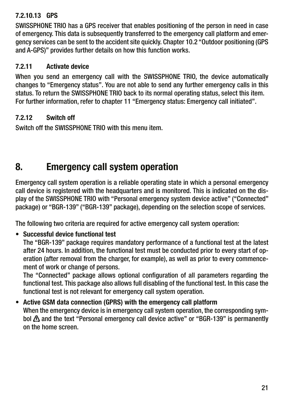#### <span id="page-20-0"></span>7.2.10.13 GPS

SWISSPHONE TRIO has a GPS receiver that enables positioning of the person in need in case of emergency. This data is subsequently transferred to the emergency call platform and emergency services can be sent to the accident site quickly. Chapter 10.2 "Outdoor positioning (GPS and A-GPS)" provides further details on how this function works.

#### 7.2.11 Activate device

When you send an emergency call with the SWISSPHONE TRIO, the device automatically changes to "Emergency status". You are not able to send any further emergency calls in this status. To return the SWISSPHONE TRIO back to its normal operating status, select this item. For further information, refer to chapter 11 "Emergency status: Emergency call initiated".

#### 7.2.12 Switch off

Switch off the SWISSPHONE TRIO with this menu item.

### 8. Emergency call system operation

Emergency call system operation is a reliable operating state in which a personal emergency call device is registered with the headquarters and is monitored. This is indicated on the display of the SWISSPHONE TRIO with "Personal emergency system device active" ("Connected" package) or "BGR-139" ("BGR-139" package), depending on the selection scope of services.

The following two criteria are required for active emergency call system operation:

#### • Successful device functional test

 The "BGR-139" package requires mandatory performance of a functional test at the latest after 24 hours. In addition, the functional test must be conducted prior to every start of operation (after removal from the charger, for example), as well as prior to every commencement of work or change of persons.

 The "Connected" package allows optional configuration of all parameters regarding the functional test. This package also allows full disabling of the functional test. In this case the functional test is not relevant for emergency call system operation.

• Active GSM data connection (GPRS) with the emergency call platform When the emergency device is in emergency call system operation, the corresponding symbol  $\Delta$  and the text "Personal emergency call device active" or "BGR-139" is permanently on the home screen.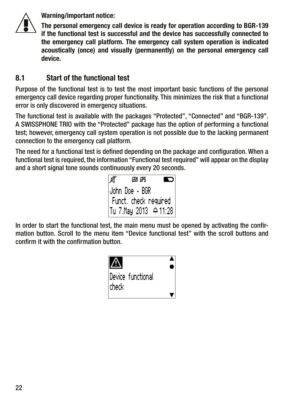<span id="page-21-0"></span>

Warning/important notice:

The personal emergency call device is ready for operation according to BGR-139 if the functional test is successful and the device has successfully connected to the emergency call platform. The emergency call system operation is indicated acoustically (once) and visually (permanently) on the personal emergency call device.

#### 8.1 Start of the functional test

Purpose of the functional test is to test the most important basic functions of the personal emergency call device regarding proper functionality. This minimizes the risk that a functional error is only discovered in emergency situations.

The functional test is available with the packages "Protected", "Connected" and "BGR-139". A SWISSPHONE TRIO with the "Protected" package has the option of performing a functional test; however, emergency call system operation is not possible due to the lacking permanent connection to the emergency call platform.

The need for a functional test is defined depending on the package and configuration. When a functional test is required, the information "Functional test required" will appear on the display and a short signal tone sounds continuously every 20 seconds.



In order to start the functional test, the main menu must be opened by activating the confirmation button. Scroll to the menu item "Device functional test" with the scroll buttons and confirm it with the confirmation button.

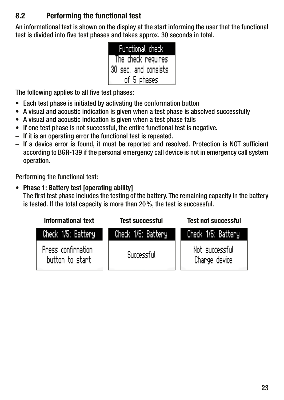#### <span id="page-22-0"></span>8.2 Performing the functional test

An informational text is shown on the display at the start informing the user that the functional test is divided into five test phases and takes approx. 30 seconds in total.

| Functional check      |
|-----------------------|
| The check requires    |
| 30 sec. and consists. |
| of 5 phases           |

The following applies to all five test phases:

- Each test phase is initiated by activating the conformation button
- A visual and acoustic indication is given when a test phase is absolved successfully
- A visual and acoustic indication is given when a test phase fails
- If one test phase is not successful, the entire functional test is negative.
- If it is an operating error the functional test is repeated.
- If a device error is found, it must be reported and resolved. Protection is NOT sufficient according to BGR-139 if the personal emergency call device is not in emergency call system operation.

Performing the functional test:

#### • Phase 1: Battery test [operating ability]

 The first test phase includes the testing of the battery. The remaining capacity in the battery is tested. If the total capacity is more than 20%, the test is successful.

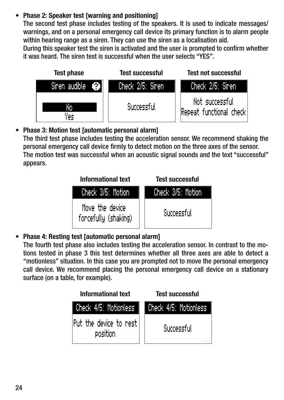#### **Phase 2: Speaker test [warning and positioning]**

 The second test phase includes testing of the speakers. It is used to indicate messages/ warnings, and on a personal emergency call device its primary function is to alarm people within hearing range as a siren. They can use the siren as a localisation aid.

 During this speaker test the siren is activated and the user is prompted to confirm whether it was heard. The siren test is successful when the user selects "YES".



• Phase 3: Motion test [automatic personal alarm]

 The third test phase includes testing the acceleration sensor. We recommend shaking the personal emergency call device firmly to detect motion on the three axes of the sensor. The motion test was successful when an acoustic signal sounds and the text "successful" appears.



• Phase 4: Resting test [automatic personal alarm]

 The fourth test phase also includes testing the acceleration sensor. In contrast to the motions tested in phase 3 this test determines whether all three axes are able to detect a "motionless" situation. In this case you are prompted not to move the personal emergency call device. We recommend placing the personal emergency call device on a stationary surface (on a table, for example).

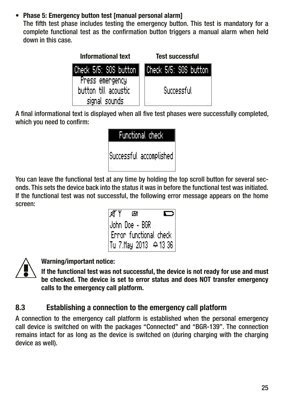#### <span id="page-24-0"></span>• Phase 5: Emergency button test [manual personal alarm]

 The fifth test phase includes testing the emergency button. This test is mandatory for a complete functional test as the confirmation button triggers a manual alarm when held down in this case.



A final informational text is displayed when all five test phases were successfully completed, which you need to confirm:

| Functional check        |  |  |
|-------------------------|--|--|
| Successful accomplished |  |  |

You can leave the functional test at any time by holding the top scroll button for several seconds. This sets the device back into the status it was in before the functional test was initiated. If the functional test was not successful, the following error message appears on the home screen:





Warning/important notice:

If the functional test was not successful, the device is not ready for use and must be checked. The device is set to error status and does NOT transfer emergency calls to the emergency call platform.

#### 8.3 Establishing a connection to the emergency call platform

A connection to the emergency call platform is established when the personal emergency call device is switched on with the packages "Connected" and "BGR-139". The connection remains intact for as long as the device is switched on (during charging with the charging device as well).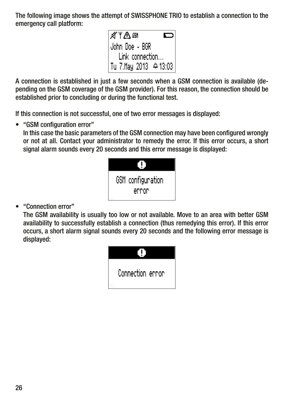The following image shows the attempt of SWISSPHONE TRIO to establish a connection to the emergency call platform:

> a‴Y∆am John Doe - BGR<br>Link connection... Tu 7. May 2013  $\rightarrow$  13:03

A connection is established in just a few seconds when a GSM connection is available (depending on the GSM coverage of the GSM provider). For this reason, the connection should be established prior to concluding or during the functional test.

If this connection is not successful, one of two error messages is displayed:

• "GSM configuration error"

 In this case the basic parameters of the GSM connection may have been configured wrongly or not at all. Contact your administrator to remedy the error. If this error occurs, a short signal alarm sounds every 20 seconds and this error message is displayed:

| GSM configuration |  |  |
|-------------------|--|--|
| error             |  |  |

• "Connection error"

 The GSM availability is usually too low or not available. Move to an area with better GSM availability to successfully establish a connection (thus remedying this error). If this error occurs, a short alarm signal sounds every 20 seconds and the following error message is displayed:

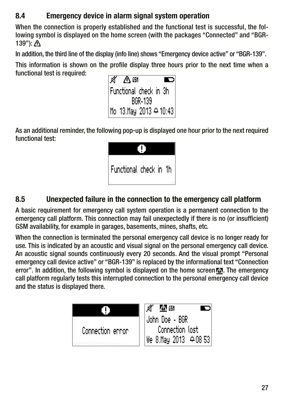#### <span id="page-26-0"></span>8.4 Emergency device in alarm signal system operation

When the connection is properly established and the functional test is successful, the following symbol is displayed on the home screen (with the packages "Connected" and "BGR-139"):

In addition, the third line of the display (info line) shows "Emergency device active" or "BGR-139".

This information is shown on the profile display three hours prior to the next time when a functional test is required:



As an additional reminder, the following pop-up is displayed one hour prior to the next required functional test:



#### 8.5 Unexpected failure in the connection to the emergency call platform

A basic requirement for emergency call system operation is a permanent connection to the emergency call platform. This connection may fail unexpectedly if there is no (or insufficient) GSM availability, for example in garages, basements, mines, shafts, etc.

When the connection is terminated the personal emergency call device is no longer ready for use. This is indicated by an acoustic and visual signal on the personal emergency call device. An acoustic signal sounds continuously every 20 seconds. And the visual prompt "Personal emergency call device active" or "BGR-139" is replaced by the informational text "Connection error". In addition, the following symbol is displayed on the home screen **AN**. The emergency call platform regularly tests this interrupted connection to the personal emergency call device and the status is displayed there.

|                  | л<br>MP 651          |
|------------------|----------------------|
|                  | John Doe - BGR       |
| Connection ennon | Connection lost      |
|                  | We 8.May 2013 408 53 |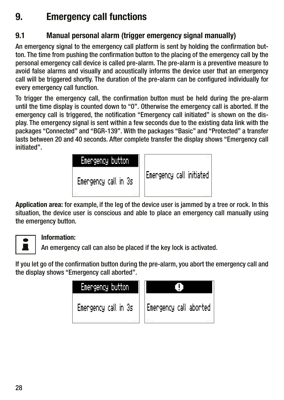### <span id="page-27-0"></span>9. Emergency call functions

#### 9.1 Manual personal alarm (trigger emergency signal manually)

An emergency signal to the emergency call platform is sent by holding the confirmation button. The time from pushing the confirmation button to the placing of the emergency call by the personal emergency call device is called pre-alarm. The pre-alarm is a preventive measure to avoid false alarms and visually and acoustically informs the device user that an emergency call will be triggered shortly. The duration of the pre-alarm can be configured individually for every emergency call function.

To trigger the emergency call, the confirmation button must be held during the pre-alarm until the time display is counted down to "0". Otherwise the emergency call is aborted. If the emergency call is triggered, the notification "Emergency call initiated" is shown on the display. The emergency signal is sent within a few seconds due to the existing data link with the packages "Connected" and "BGR-139". With the packages "Basic" and "Protected" a transfer lasts between 20 and 40 seconds. After complete transfer the display shows "Emergency call initiated".



Application area: for example, if the leg of the device user is jammed by a tree or rock. In this situation, the device user is conscious and able to place an emergency call manually using the emergency button.

#### Information:

 $\blacksquare$  An emergency call can also be placed if the key lock is activated.

If you let go of the confirmation button during the pre-alarm, you abort the emergency call and the display shows "Emergency call aborted".

| Emergency button     |                        |
|----------------------|------------------------|
| Emengency call in 3s | Emengency call abonted |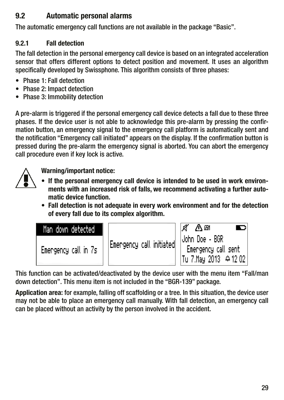#### <span id="page-28-0"></span>9.2 Automatic personal alarms

The automatic emergency call functions are not available in the package "Basic".

#### 9.2.1 Fall detection

The fall detection in the personal emergency call device is based on an integrated acceleration sensor that offers different options to detect position and movement. It uses an algorithm specifically developed by Swissphone. This algorithm consists of three phases:

- Phase 1: Fall detection
- Phase 2: Impact detection
- Phase 3: Immobility detection

A pre-alarm is triggered if the personal emergency call device detects a fall due to these three phases. If the device user is not able to acknowledge this pre-alarm by pressing the confirmation button, an emergency signal to the emergency call platform is automatically sent and the notification "Emergency call initiated" appears on the display. If the confirmation button is pressed during the pre-alarm the emergency signal is aborted. You can abort the emergency call procedure even if key lock is active.



Warning/important notice:

- If the personal emergency call device is intended to be used in work environments with an increased risk of falls, we recommend activating a further automatic device function.
- Fall detection is not adequate in every work environment and for the detection of every fall due to its complex algorithm.

| Man down detected    |                                                             | A″ ∆ 6⊪                                                                                |
|----------------------|-------------------------------------------------------------|----------------------------------------------------------------------------------------|
| Emengency call in 7s | $\left\Vert \mathsf{Energy\_call\_initial}\right\Vert _{1}$ | John Doe - BGR<br>Emergency call sent<br> Tu 7.May 2013 $\left. \Leftrightarrow$ 12.02 |

This function can be activated/deactivated by the device user with the menu item "Fall/man down detection". This menu item is not included in the "BGR-139" package.

Application area: for example, falling off scaffolding or a tree. In this situation, the device user may not be able to place an emergency call manually. With fall detection, an emergency call can be placed without an activity by the person involved in the accident.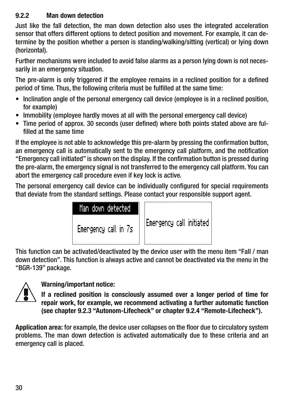#### <span id="page-29-0"></span>9.2.2 Man down detection

Just like the fall detection, the man down detection also uses the integrated acceleration sensor that offers different options to detect position and movement. For example, it can determine by the position whether a person is standing/walking/sitting (vertical) or lying down (horizontal).

Further mechanisms were included to avoid false alarms as a person lying down is not necessarily in an emergency situation.

The pre-alarm is only triggered if the employee remains in a reclined position for a defined period of time. Thus, the following criteria must be fulfilled at the same time:

- Inclination angle of the personal emergency call device (employee is in a reclined position, for example)
- Immobility (employee hardly moves at all with the personal emergency call device)
- Time period of approx. 30 seconds (user defined) where both points stated above are fulfilled at the same time

If the employee is not able to acknowledge this pre-alarm by pressing the confirmation button, an emergency call is automatically sent to the emergency call platform, and the notification "Emergency call initiated" is shown on the display. If the confirmation button is pressed during the pre-alarm, the emergency signal is not transferred to the emergency call platform. You can abort the emergency call procedure even if key lock is active.

The personal emergency call device can be individually configured for special requirements that deviate from the standard settings. Please contact your responsible support agent.

| Man down detected.   |                            |
|----------------------|----------------------------|
| Emengency call in 7s | [Emergency call initiated] |

This function can be activated/deactivated by the device user with the menu item "Fall / man down detection". This function is always active and cannot be deactivated via the menu in the "BGR-139" package.



#### Warning/important notice:

 If a reclined position is consciously assumed over a longer period of time for repair work, for example, we recommend activating a further automatic function (see chapter 9.2.3 "Autonom-Lifecheck" or chapter 9.2.4 "Remote-Lifecheck").

Application area: for example, the device user collapses on the floor due to circulatory system problems. The man down detection is activated automatically due to these criteria and an emergency call is placed.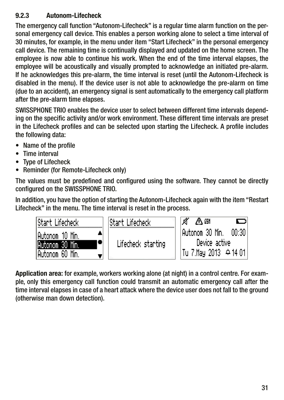#### <span id="page-30-0"></span>9.2.3 Autonom-Lifecheck

The emergency call function "Autonom-Lifecheck" is a regular time alarm function on the personal emergency call device. This enables a person working alone to select a time interval of 30 minutes, for example, in the menu under item "Start Lifecheck" in the personal emergency call device. The remaining time is continually displayed and updated on the home screen. The employee is now able to continue his work. When the end of the time interval elapses, the employee will be acoustically and visually prompted to acknowledge an initiated pre-alarm. If he acknowledges this pre-alarm, the time interval is reset (until the Autonom-Lifecheck is disabled in the menu). If the device user is not able to acknowledge the pre-alarm on time (due to an accident), an emergency signal is sent automatically to the emergency call platform after the pre-alarm time elapses.

SWISSPHONE TRIO enables the device user to select between different time intervals depending on the specific activity and/or work environment. These different time intervals are preset in the Lifecheck profiles and can be selected upon starting the Lifecheck. A profile includes the following data:

- Name of the profile
- Time interval
- Type of Lifecheck
- Reminder (for Remote-Lifecheck only)

The values must be predefined and configured using the software. They cannot be directly configured on the SWISSPHONE TRIO.

In addition, you have the option of starting the Autonom-Lifecheck again with the item "Restart Lifecheck" in the menu. The time interval is reset in the process.

| lStart Lifecheck. | lStart Lifecheck.  | ď<br>八郎                       |
|-------------------|--------------------|-------------------------------|
| IAutonom 10 Min.  |                    | $00:30$ I<br> Autonom 30 Min. |
| Autonom 30 Min.   | Lifecheck starting | Device active                 |
| Autonom 60 Min.   |                    | Tu 7.May 2013 ⊕14 01          |

Application area: for example, workers working alone (at night) in a control centre. For example, only this emergency call function could transmit an automatic emergency call after the time interval elapses in case of a heart attack where the device user does not fall to the ground (otherwise man down detection).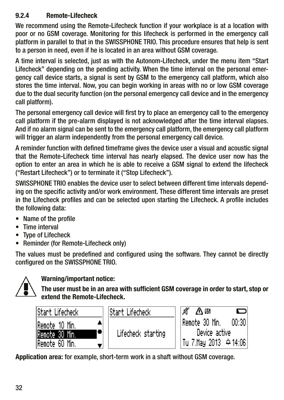#### <span id="page-31-0"></span>9.2.4 Remote-Lifecheck

We recommend using the Remote-Lifecheck function if your workplace is at a location with poor or no GSM coverage. Monitoring for this lifecheck is performed in the emergency call platform in parallel to that in the SWISSPHONE TRIO. This procedure ensures that help is sent to a person in need, even if he is located in an area without GSM coverage.

A time interval is selected, just as with the Autonom-Lifecheck, under the menu item "Start Lifecheck" depending on the pending activity. When the time interval on the personal emergency call device starts, a signal is sent by GSM to the emergency call platform, which also stores the time interval. Now, you can begin working in areas with no or low GSM coverage due to the dual security function (on the personal emergency call device and in the emergency call platform).

The personal emergency call device will first try to place an emergency call to the emergency call platform if the pre-alarm displayed is not acknowledged after the time interval elapses. And if no alarm signal can be sent to the emergency call platform, the emergency call platform will trigger an alarm independently from the personal emergency call device.

A reminder function with defined timeframe gives the device user a visual and acoustic signal that the Remote-Lifecheck time interval has nearly elapsed. The device user now has the option to enter an area in which he is able to receive a GSM signal to extend the lifecheck ("Restart Lifecheck") or to terminate it ("Stop Lifecheck").

SWISSPHONE TRIO enables the device user to select between different time intervals depending on the specific activity and/or work environment. These different time intervals are preset in the Lifecheck profiles and can be selected upon starting the Lifecheck. A profile includes the following data:

- Name of the profile
- Time interval
- Type of Lifecheck
- Reminder (for Remote-Lifecheck only)

The values must be predefined and configured using the software. They cannot be directly configured on the SWISSPHONE TRIO.



#### Warning/important notice:

The user must be in an area with sufficient GSM coverage in order to start, stop or extend the Remote-Lifecheck.

| Start Lifecheck | lStart Li |
|-----------------|-----------|
| lRemote 10 Min. |           |
| Remote 30 Min.  | Lifed     |
| Remote 60 Min.  |           |

∧⋒ te 30 Min. 00:30 Device active Tu 7.May 2013  $\oplus$  14:06

Application area: for example, short-term work in a shaft without GSM coverage.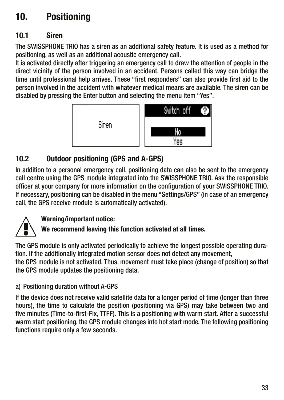## <span id="page-32-0"></span>10. Positioning

#### 10.1 Siren

The SWISSPHONE TRIO has a siren as an additional safety feature. It is used as a method for positioning, as well as an additional acoustic emergency call.

It is activated directly after triggering an emergency call to draw the attention of people in the direct vicinity of the person involved in an accident. Persons called this way can bridge the time until professional help arrives. These "first responders" can also provide first aid to the person involved in the accident with whatever medical means are available. The siren can be disabled by pressing the Enter button and selecting the menu item "Yes".



#### 10.2 Outdoor positioning (GPS and A-GPS)

In addition to a personal emergency call, positioning data can also be sent to the emergency call centre using the GPS module integrated into the SWISSPHONE TRIO. Ask the responsible officer at your company for more information on the configuration of your SWISSPHONE TRIO. If necessary, positioning can be disabled in the menu "Settings/GPS" (in case of an emergency call, the GPS receive module is automatically activated).

#### Warning/important notice:

We recommend leaving this function activated at all times.

The GPS module is only activated periodically to achieve the longest possible operating duration. If the additionally integrated motion sensor does not detect any movement, the GPS module is not activated. Thus, movement must take place (change of position) so that the GPS module updates the positioning data.

#### a) Positioning duration without A-GPS

If the device does not receive valid satellite data for a longer period of time (longer than three hours), the time to calculate the position (positioning via GPS) may take between two and five minutes (Time-to-first-Fix, TTFF). This is a positioning with warm start. After a successful warm start positioning, the GPS module changes into hot start mode. The following positioning functions require only a few seconds.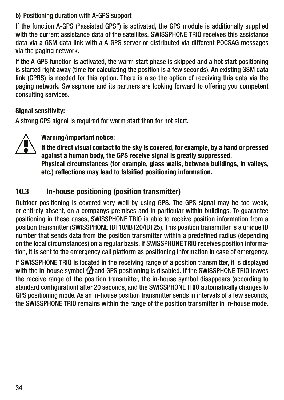#### <span id="page-33-0"></span>b) Positioning duration with A-GPS support

If the function A-GPS ("assisted GPS") is activated, the GPS module is additionally supplied with the current assistance data of the satellites. SWISSPHONE TRIO receives this assistance data via a GSM data link with a A-GPS server or distributed via different POCSAG messages via the paging network.

If the A-GPS function is activated, the warm start phase is skipped and a hot start positioning is started right away (time for calculating the position is a few seconds). An existing GSM data link (GPRS) is needed for this option. There is also the option of receiving this data via the paging network. Swissphone and its partners are looking forward to offering you competent consulting services.

#### Signal sensitivity:

A strong GPS signal is required for warm start than for hot start.



Warning/important notice:

If the direct visual contact to the sky is covered, for example, by a hand or pressed against a human body, the GPS receive signal is greatly suppressed. Physical circumstances (for example, glass walls, between buildings, in valleys, etc.) reflections may lead to falsified positioning information.

#### 10.3 In-house positioning (position transmitter)

Outdoor positioning is covered very well by using GPS. The GPS signal may be too weak, or entirely absent, on a companys premises and in particular within buildings. To guarantee positioning in these cases, SWISSPHONE TRIO is able to receive position information from a position transmitter (SWISSPHONE IBT10/IBT20/IBT25). This position transmitter is a unique ID number that sends data from the position transmitter within a predefined radius (depending on the local circumstances) on a regular basis. If SWISSPHONE TRIO receives position information, it is sent to the emergency call platform as positioning information in case of emergency.

If SWISSPHONE TRIO is located in the receiving range of a position transmitter, it is displayed with the in-house symbol fattand GPS positioning is disabled. If the SWISSPHONE TRIO leaves the receive range of the position transmitter, the in-house symbol disappears (according to standard configuration) after 20 seconds, and the SWISSPHONE TRIO automatically changes to GPS positioning mode. As an in-house position transmitter sends in intervals of a few seconds, the SWISSPHONE TRIO remains within the range of the position transmitter in in-house mode.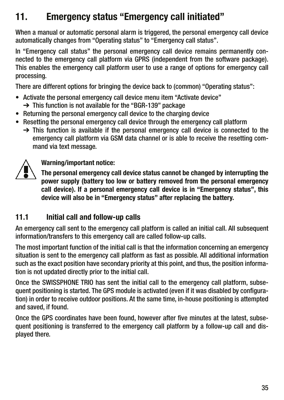### <span id="page-34-0"></span>11. Emergency status "Emergency call initiated"

When a manual or automatic personal alarm is triggered, the personal emergency call device automatically changes from "Operating status" to "Emergency call status".

In "Emergency call status" the personal emergency call device remains permanently connected to the emergency call platform via GPRS (independent from the software package). This enables the emergency call platform user to use a range of options for emergency call processing.

There are different options for bringing the device back to (common) "Operating status":

- Activate the personal emergency call device menu item "Activate device"
	- ➔ This function is not available for the "BGR-139" package
- Returning the personal emergency call device to the charging device
- Resetting the personal emergency call device through the emergency call platform
	- $\rightarrow$  This function is available if the personal emergency call device is connected to the emergency call platform via GSM data channel or is able to receive the resetting command via text message.



Warning/important notice:

The personal emergency call device status cannot be changed by interrupting the power supply (battery too low or battery removed from the personal emergency call device). If a personal emergency call device is in "Emergency status", this device will also be in "Emergency status" after replacing the battery.

#### 11.1 Initial call and follow-up calls

An emergency call sent to the emergency call platform is called an initial call. All subsequent information/transfers to this emergency call are called follow-up calls.

The most important function of the initial call is that the information concerning an emergency situation is sent to the emergency call platform as fast as possible. All additional information such as the exact position have secondary priority at this point, and thus, the position information is not updated directly prior to the initial call.

Once the SWISSPHONE TRIO has sent the initial call to the emergency call platform, subsequent positioning is started. The GPS module is activated (even if it was disabled by configuration) in order to receive outdoor positions. At the same time, in-house positioning is attempted and saved, if found.

Once the GPS coordinates have been found, however after five minutes at the latest, subsequent positioning is transferred to the emergency call platform by a follow-up call and displayed there.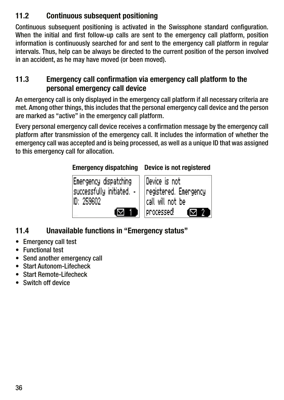#### <span id="page-35-0"></span>11.2 Continuous subsequent positioning

Continuous subsequent positioning is activated in the Swissphone standard configuration. When the initial and first follow-up calls are sent to the emergency call platform, position information is continuously searched for and sent to the emergency call platform in regular intervals. Thus, help can be always be directed to the current position of the person involved in an accident, as he may have moved (or been moved).

#### 11.3 Emergency call confirmation via emergency call platform to the personal emergency call device

An emergency call is only displayed in the emergency call platform if all necessary criteria are met. Among other things, this includes that the personal emergency call device and the person are marked as "active" in the emergency call platform.

Every personal emergency call device receives a confirmation message by the emergency call platform after transmission of the emergency call. It includes the information of whether the emergency call was accepted and is being processed, as well as a unique ID that was assigned to this emergency call for allocation.

#### Emergency dispatching Device is not registered

Emengency dispatching successfully initiated. -D: 259602



### 11.4 Unavailable functions in "Emergency status"

- Emergency call test
- Functional test
- Send another emergency call
- Start Autonom-Lifecheck
- Start Remote-Lifecheck
- Switch off device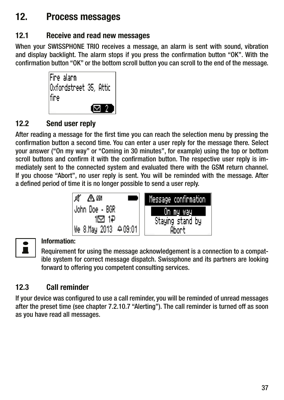### <span id="page-36-0"></span>12. Process messages

### 12.1 Receive and read new messages

When your SWISSPHONE TRIO receives a message, an alarm is sent with sound, vibration and display backlight. The alarm stops if you press the confirmation button "OK". With the confirmation button "OK" or the bottom scroll button you can scroll to the end of the message.



#### 12.2 Send user reply

After reading a message for the first time you can reach the selection menu by pressing the confirmation button a second time. You can enter a user reply for the message there. Select your answer ("On my way" or "Coming in 30 minutes", for example) using the top or bottom scroll buttons and confirm it with the confirmation button. The respective user reply is immediately sent to the connected system and evaluated there with the GSM return channel. If you choose "Abort", no user reply is sent. You will be reminded with the message. After a defined period of time it is no longer possible to send a user reply.



#### Information:

 Requirement for using the message acknowledgement is a connection to a compatible system for correct message dispatch. Swissphone and its partners are looking forward to offering you competent consulting services.

### 12.3 Call reminder

If your device was configured to use a call reminder, you will be reminded of unread messages after the preset time (see chapter 7.2.10.7 "Alerting"). The call reminder is turned off as soon as you have read all messages.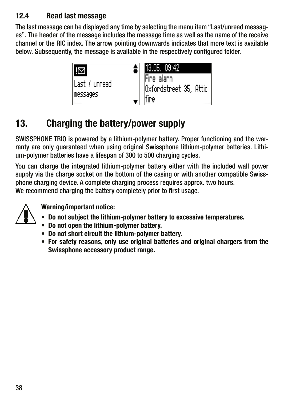#### <span id="page-37-0"></span>12.4 Read last message

The last message can be displayed any time by selecting the menu item "Last/unread messages". The header of the message includes the message time as well as the name of the receive channel or the RIC index. The arrow pointing downwards indicates that more text is available below. Subsequently, the message is available in the respectively configured folder.



## 13. Charging the battery/power supply

SWISSPHONE TRIO is powered by a lithium-polymer battery. Proper functioning and the warranty are only guaranteed when using original Swissphone lithium-polymer batteries. Lithium-polymer batteries have a lifespan of 300 to 500 charging cycles.

You can charge the integrated lithium-polymer battery either with the included wall power supply via the charge socket on the bottom of the casing or with another compatible Swissphone charging device. A complete charging process requires approx. two hours. We recommend charging the battery completely prior to first usage.



Warning/important notice:

- Do not subject the lithium-polymer battery to excessive temperatures.
- Do not open the lithium-polymer battery.
- Do not short circuit the lithium-polymer battery.
- For safety reasons, only use original batteries and original chargers from the Swissphone accessory product range.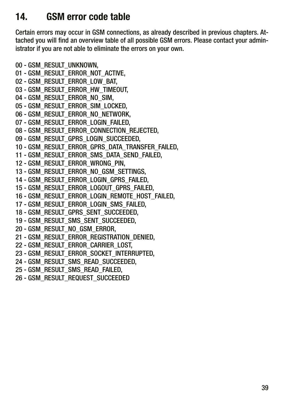### <span id="page-38-0"></span>14. GSM error code table

Certain errors may occur in GSM connections, as already described in previous chapters. Attached you will find an overview table of all possible GSM errors. Please contact your administrator if you are not able to eliminate the errors on your own.

00 - GSM\_RESULT\_UNKNOWN, 01 - GSM\_RESULT\_ERROR\_NOT\_ACTIVE, 02 - GSM\_RESULT\_ERROR\_LOW\_BAT, 03 - GSM\_RESULT\_ERROR\_HW\_TIMEOUT, 04 - GSM\_RESULT\_ERROR\_NO\_SIM, 05 - GSM\_RESULT\_ERROR\_SIM\_LOCKED, 06 - GSM\_RESULT\_ERROR\_NO\_NETWORK, 07 - GSM\_RESULT\_ERROR\_LOGIN\_FAILED, 08 - GSM\_RESULT\_ERROR\_CONNECTION\_REJECTED. 09 - GSM\_RESULT\_GPRS\_LOGIN\_SUCCEEDED, 10 - GSM\_RESULT\_ERROR\_GPRS\_DATA\_TRANSFER\_FAILED, 11 - GSM\_RESULT\_ERROR\_SMS\_DATA\_SEND\_FAILED, 12 - GSM\_RESULT\_ERROR\_WRONG\_PIN, 13 - GSM\_RESULT\_ERROR\_NO\_GSM\_SETTINGS, 14 - GSM\_RESULT\_ERROR\_LOGIN\_GPRS\_FAILED, 15 - GSM\_RESULT\_ERROR\_LOGOUT\_GPRS\_FAILED, 16 - GSM\_RESULT\_ERROR\_LOGIN\_REMOTE\_HOST\_FAILED, 17 - GSM\_RESULT\_ERROR\_LOGIN\_SMS\_FAILED, 18 - GSM\_RESULT\_GPRS\_SENT\_SUCCEEDED, 19 - GSM\_RESULT\_SMS\_SENT\_SUCCEEDED, 20 - GSM\_RESULT\_NO\_GSM\_ERROR, 21 - GSM\_RESULT\_ERROR\_REGISTRATION\_DENIED, 22 - GSM\_RESULT\_ERROR\_CARRIER\_LOST, 23 - GSM\_RESULT\_ERROR\_SOCKET\_INTERRUPTED, 24 - GSM\_RESULT\_SMS\_READ\_SUCCEEDED, 25 - GSM\_RESULT\_SMS\_READ\_FAILED, 26 - GSM\_RESULT\_REQUEST\_SUCCEEDED